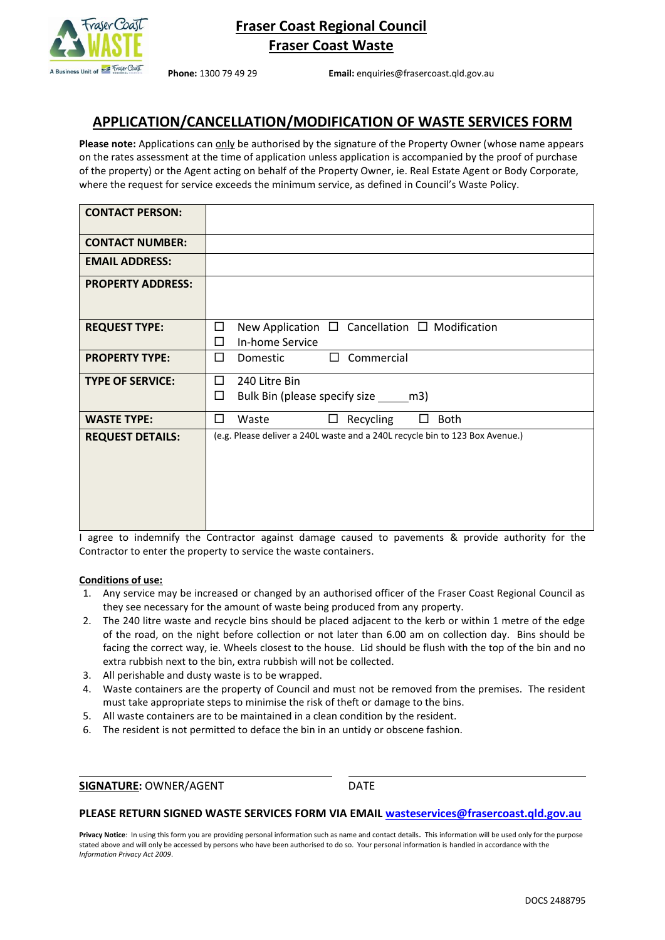

**Phone:** 1300 79 49 29 **Email:** enquiries@frasercoast.qld.gov.au

# **APPLICATION/CANCELLATION/MODIFICATION OF WASTE SERVICES FORM**

**Please note:** Applications can only be authorised by the signature of the Property Owner (whose name appears on the rates assessment at the time of application unless application is accompanied by the proof of purchase of the property) or the Agent acting on behalf of the Property Owner, ie. Real Estate Agent or Body Corporate, where the request for service exceeds the minimum service, as defined in Council's Waste Policy.

| <b>CONTACT PERSON:</b>   |                                                                                      |
|--------------------------|--------------------------------------------------------------------------------------|
| <b>CONTACT NUMBER:</b>   |                                                                                      |
| <b>EMAIL ADDRESS:</b>    |                                                                                      |
| <b>PROPERTY ADDRESS:</b> |                                                                                      |
| <b>REQUEST TYPE:</b>     | □<br>New Application $\Box$ Cancellation $\Box$ Modification<br>In-home Service<br>□ |
| <b>PROPERTY TYPE:</b>    | Commercial<br>□<br>Domestic<br>$\Box$                                                |
| <b>TYPE OF SERVICE:</b>  | 240 Litre Bin<br>□<br>Bulk Bin (please specify size _______ m3)<br>□                 |
| <b>WASTE TYPE:</b>       | □<br>Recycling<br><b>Both</b><br>Waste<br>$\Box$                                     |
| <b>REQUEST DETAILS:</b>  | (e.g. Please deliver a 240L waste and a 240L recycle bin to 123 Box Avenue.)         |

I agree to indemnify the Contractor against damage caused to pavements & provide authority for the Contractor to enter the property to service the waste containers.

#### **Conditions of use:**

- 1. Any service may be increased or changed by an authorised officer of the Fraser Coast Regional Council as they see necessary for the amount of waste being produced from any property.
- 2. The 240 litre waste and recycle bins should be placed adjacent to the kerb or within 1 metre of the edge of the road, on the night before collection or not later than 6.00 am on collection day. Bins should be facing the correct way, ie. Wheels closest to the house. Lid should be flush with the top of the bin and no extra rubbish next to the bin, extra rubbish will not be collected.
- 3. All perishable and dusty waste is to be wrapped.
- 4. Waste containers are the property of Council and must not be removed from the premises. The resident must take appropriate steps to minimise the risk of theft or damage to the bins.
- 5. All waste containers are to be maintained in a clean condition by the resident.
- 6. The resident is not permitted to deface the bin in an untidy or obscene fashion.

**SIGNATURE: OWNER/AGENT CONSERVAGES** 

#### **PLEASE RETURN SIGNED WASTE SERVICES FORM VIA EMAIL [wasteservices@frasercoast.qld.gov.au](mailto:cleanaway@frasercoast.qld.gov.au)**

**Privacy Notice**: In using this form you are providing personal information such as name and contact details*.* This information will be used only for the purpose stated above and will only be accessed by persons who have been authorised to do so. Your personal information is handled in accordance with the *Information Privacy Act 2009*.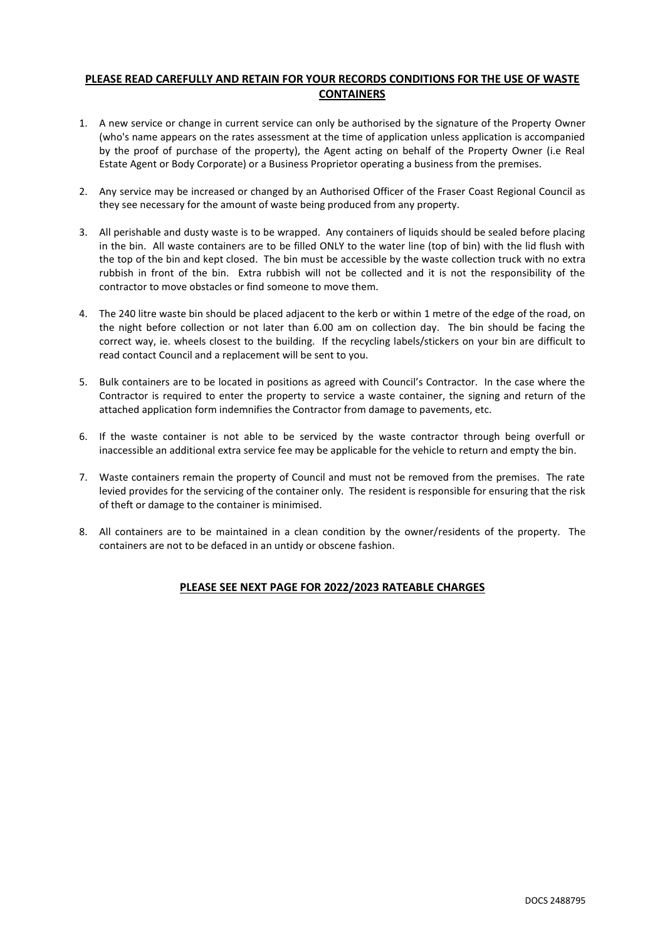## **PLEASE READ CAREFULLY AND RETAIN FOR YOUR RECORDS CONDITIONS FOR THE USE OF WASTE CONTAINERS**

- 1. A new service or change in current service can only be authorised by the signature of the Property Owner (who's name appears on the rates assessment at the time of application unless application is accompanied by the proof of purchase of the property), the Agent acting on behalf of the Property Owner (i.e Real Estate Agent or Body Corporate) or a Business Proprietor operating a business from the premises.
- 2. Any service may be increased or changed by an Authorised Officer of the Fraser Coast Regional Council as they see necessary for the amount of waste being produced from any property.
- 3. All perishable and dusty waste is to be wrapped. Any containers of liquids should be sealed before placing in the bin. All waste containers are to be filled ONLY to the water line (top of bin) with the lid flush with the top of the bin and kept closed. The bin must be accessible by the waste collection truck with no extra rubbish in front of the bin. Extra rubbish will not be collected and it is not the responsibility of the contractor to move obstacles or find someone to move them.
- 4. The 240 litre waste bin should be placed adjacent to the kerb or within 1 metre of the edge of the road, on the night before collection or not later than 6.00 am on collection day. The bin should be facing the correct way, ie. wheels closest to the building. If the recycling labels/stickers on your bin are difficult to read contact Council and a replacement will be sent to you.
- 5. Bulk containers are to be located in positions as agreed with Council's Contractor. In the case where the Contractor is required to enter the property to service a waste container, the signing and return of the attached application form indemnifies the Contractor from damage to pavements, etc.
- 6. If the waste container is not able to be serviced by the waste contractor through being overfull or inaccessible an additional extra service fee may be applicable for the vehicle to return and empty the bin.
- 7. Waste containers remain the property of Council and must not be removed from the premises. The rate levied provides for the servicing of the container only. The resident is responsible for ensuring that the risk of theft or damage to the container is minimised.
- 8. All containers are to be maintained in a clean condition by the owner/residents of the property. The containers are not to be defaced in an untidy or obscene fashion.

### **PLEASE SEE NEXT PAGE FOR 2022/2023 RATEABLE CHARGES**